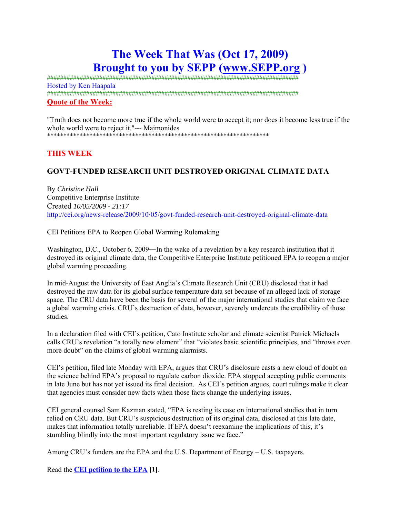# **The Week That Was (Oct 17, 2009) Brought to you by SEPP (www.SEPP.org )**

############################################################################# Hosted by Ken Haapala ############################################################################# **Quote of the Week:**

"Truth does not become more true if the whole world were to accept it; nor does it become less true if the whole world were to reject it."--- Maimonides \*\*\*\*\*\*\*\*\*\*\*\*\*\*\*\*\*\*\*\*\*\*\*\*\*\*\*\*\*\*\*\*\*\*\*\*\*\*\*\*\*\*\*\*\*\*\*\*\*\*\*\*\*\*\*\*\*\*\*\*\*\*\*\*\*\*\*\*

# **THIS WEEK**

# **GOVT-FUNDED RESEARCH UNIT DESTROYED ORIGINAL CLIMATE DATA**

By *Christine Hall*  Competitive Enterprise Institute Created *10/05/2009 - 21:17*  http://cei.org/news-release/2009/10/05/govt-funded-research-unit-destroyed-original-climate-data

CEI Petitions EPA to Reopen Global Warming Rulemaking

Washington, D.C., October 6, 2009—In the wake of a revelation by a key research institution that it destroyed its original climate data, the Competitive Enterprise Institute petitioned EPA to reopen a major global warming proceeding.

In mid-August the University of East Anglia's Climate Research Unit (CRU) disclosed that it had destroyed the raw data for its global surface temperature data set because of an alleged lack of storage space. The CRU data have been the basis for several of the major international studies that claim we face a global warming crisis. CRU's destruction of data, however, severely undercuts the credibility of those studies.

In a declaration filed with CEI's petition, Cato Institute scholar and climate scientist Patrick Michaels calls CRU's revelation "a totally new element" that "violates basic scientific principles, and "throws even more doubt" on the claims of global warming alarmists.

CEI's petition, filed late Monday with EPA, argues that CRU's disclosure casts a new cloud of doubt on the science behind EPA's proposal to regulate carbon dioxide. EPA stopped accepting public comments in late June but has not yet issued its final decision. As CEI's petition argues, court rulings make it clear that agencies must consider new facts when those facts change the underlying issues.

CEI general counsel Sam Kazman stated, "EPA is resting its case on international studies that in turn relied on CRU data. But CRU's suspicious destruction of its original data, disclosed at this late date, makes that information totally unreliable. If EPA doesn't reexamine the implications of this, it's stumbling blindly into the most important regulatory issue we face."

Among CRU's funders are the EPA and the U.S. Department of Energy – U.S. taxpayers.

Read the **CEI petition to the EPA [1]**.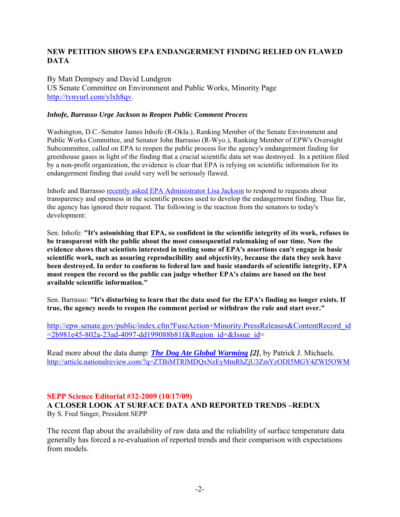# **NEW PETITION SHOWS EPA ENDANGERMENT FINDING RELIED ON FLAWED DATA**

By Matt Dempsey and David Lundgren US Senate Committee on Environment and Public Works, Minority Page http://tynyurl.com/ylxh8qv.

### *Inhofe, Barrasso Urge Jackson to Reopen Public Comment Process*

Washington, D.C.-Senator James Inhofe (R-Okla.), Ranking Member of the Senate Environment and Public Works Committee, and Senator John Barrasso (R-Wyo.), Ranking Member of EPW's Oversight Subcommittee, called on EPA to reopen the public process for the agency's endangerment finding for greenhouse gases in light of the finding that a crucial scientific data set was destroyed. In a petition filed by a non-profit organization, the evidence is clear that EPA is relying on scientific information for its endangerment finding that could very well be seriously flawed.

Inhofe and Barrasso recently asked EPA Administrator Lisa Jackson to respond to requests about transparency and openness in the scientific process used to develop the endangerment finding. Thus far, the agency has ignored their request. The following is the reaction from the senators to today's development:

Sen. Inhofe: **"It's astonishing that EPA, so confident in the scientific integrity of its work, refuses to be transparent with the public about the most consequential rulemaking of our time. Now the evidence shows that scientists interested in testing some of EPA's assertions can't engage in basic scientific work, such as assuring reproducibility and objectivity, because the data they seek have been destroyed. In order to conform to federal law and basic standards of scientific integrity, EPA must reopen the record so the public can judge whether EPA's claims are based on the best available scientific information."**

Sen. Barrasso: **"It's disturbing to learn that the data used for the EPA's finding no longer exists. If true, the agency needs to reopen the comment period or withdraw the rule and start over."**

http://epw.senate.gov/public/index.cfm?FuseAction=Minority.PressReleases&ContentRecord\_id  $=2b981e45-802a-23ad-4097-dd199088b81f&$ Region  $id=&$ Issue  $id=$ 

Read more about the data dump: *The Dog Ate Global Warming [2]*, by Patrick J. Michaels. http://article.nationalreview.com/?q=ZTBiMTRlMDQxNzEyMmRhZjU3ZmYzODI5MGY4ZWI5OWM

# **SEPP Science Editorial #32-2009 (10/17/09)**

**A CLOSER LOOK AT SURFACE DATA AND REPORTED TRENDS –REDUX**  By S. Fred Singer, President SEPP

The recent flap about the availability of raw data and the reliability of surface temperature data generally has forced a re-evaluation of reported trends and their comparison with expectations from models.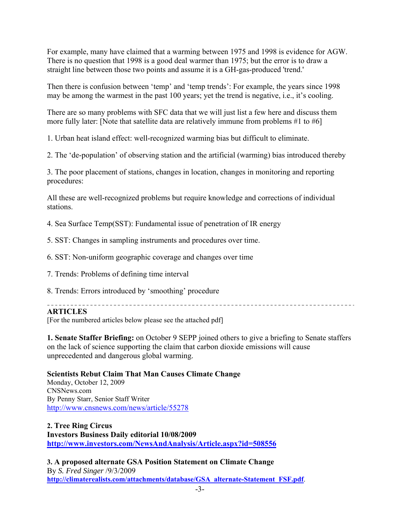For example, many have claimed that a warming between 1975 and 1998 is evidence for AGW. There is no question that 1998 is a good deal warmer than 1975; but the error is to draw a straight line between those two points and assume it is a GH-gas-produced 'trend.'

Then there is confusion between 'temp' and 'temp trends': For example, the years since 1998 may be among the warmest in the past 100 years; yet the trend is negative, i.e., it's cooling.

There are so many problems with SFC data that we will just list a few here and discuss them more fully later: [Note that satellite data are relatively immune from problems #1 to #6]

1. Urban heat island effect: well-recognized warming bias but difficult to eliminate.

2. The 'de-population' of observing station and the artificial (warming) bias introduced thereby

3. The poor placement of stations, changes in location, changes in monitoring and reporting procedures:

All these are well-recognized problems but require knowledge and corrections of individual stations.

4. Sea Surface Temp(SST): Fundamental issue of penetration of IR energy

5. SST: Changes in sampling instruments and procedures over time.

6. SST: Non-uniform geographic coverage and changes over time

7. Trends: Problems of defining time interval

8. Trends: Errors introduced by 'smoothing' procedure

**ARTICLES** 

[For the numbered articles below please see the attached pdf]

**1. Senate Staffer Briefing:** on October 9 SEPP joined others to give a briefing to Senate staffers on the lack of science supporting the claim that carbon dioxide emissions will cause unprecedented and dangerous global warming.

**Scientists Rebut Claim That Man Causes Climate Change** 

Monday, October 12, 2009 CNSNews.com By Penny Starr, Senior Staff Writer http://www.cnsnews.com/news/article/55278

**2. Tree Ring Circus Investors Business Daily editorial 10/08/2009 http://www.investors.com/NewsAndAnalysis/Article.aspx?id=508556**

**3. A proposed alternate GSA Position Statement on Climate Change**  By *S. Fred Singer* /9/3/2009 **http://climaterealists.com/attachments/database/GSA\_alternate-Statement\_FSF.pdf**.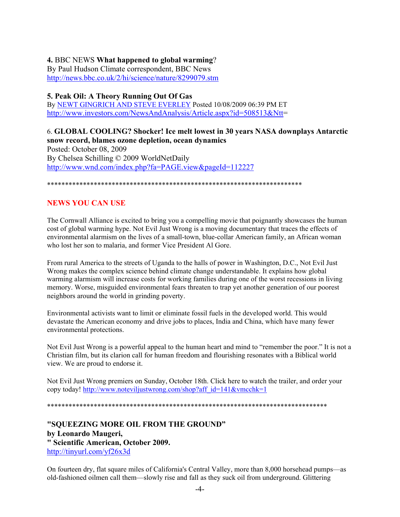# **4.** BBC NEWS **What happened to global warming**?

By Paul Hudson Climate correspondent, BBC News http://news.bbc.co.uk/2/hi/science/nature/8299079.stm

# **5. Peak Oil: A Theory Running Out Of Gas**

By NEWT GINGRICH AND STEVE EVERLEY Posted 10/08/2009 06:39 PM ET http://www.investors.com/NewsAndAnalysis/Article.aspx?id=508513&Ntt=

6. **GLOBAL COOLING? Shocker! Ice melt lowest in 30 years NASA downplays Antarctic snow record, blames ozone depletion, ocean dynamics** Posted: October 08, 2009 By Chelsea Schilling © 2009 WorldNetDaily http://www.wnd.com/index.php?fa=PAGE.view&pageId=112227

\*\*\*\*\*\*\*\*\*\*\*\*\*\*\*\*\*\*\*\*\*\*\*\*\*\*\*\*\*\*\*\*\*\*\*\*\*\*\*\*\*\*\*\*\*\*\*\*\*\*\*\*\*\*\*\*\*\*\*\*\*\*\*\*\*\*\*\*\*\*\*

# **NEWS YOU CAN USE**

The Cornwall Alliance is excited to bring you a compelling movie that poignantly showcases the human cost of global warming hype. Not Evil Just Wrong is a moving documentary that traces the effects of environmental alarmism on the lives of a small-town, blue-collar American family, an African woman who lost her son to malaria, and former Vice President Al Gore.

From rural America to the streets of Uganda to the halls of power in Washington, D.C., Not Evil Just Wrong makes the complex science behind climate change understandable. It explains how global warming alarmism will increase costs for working families during one of the worst recessions in living memory. Worse, misguided environmental fears threaten to trap yet another generation of our poorest neighbors around the world in grinding poverty.

Environmental activists want to limit or eliminate fossil fuels in the developed world. This would devastate the American economy and drive jobs to places, India and China, which have many fewer environmental protections.

Not Evil Just Wrong is a powerful appeal to the human heart and mind to "remember the poor." It is not a Christian film, but its clarion call for human freedom and flourishing resonates with a Biblical world view. We are proud to endorse it.

Not Evil Just Wrong premiers on Sunday, October 18th. Click here to watch the trailer, and order your copy today! http://www.noteviljustwrong.com/shop?aff\_id=141&vmcchk=1

\*\*\*\*\*\*\*\*\*\*\*\*\*\*\*\*\*\*\*\*\*\*\*\*\*\*\*\*\*\*\*\*\*\*\*\*\*\*\*\*\*\*\*\*\*\*\*\*\*\*\*\*\*\*\*\*\*\*\*\*\*\*\*\*\*\*\*\*\*\*\*\*\*\*\*\*\*\*

**"SQUEEZING MORE OIL FROM THE GROUND" by Leonardo Maugeri, " Scientific American, October 2009.**  http://tinyurl.com/yf26x3d

On fourteen dry, flat square miles of California's Central Valley, more than 8,000 horsehead pumps—as old-fashioned oilmen call them—slowly rise and fall as they suck oil from underground. Glittering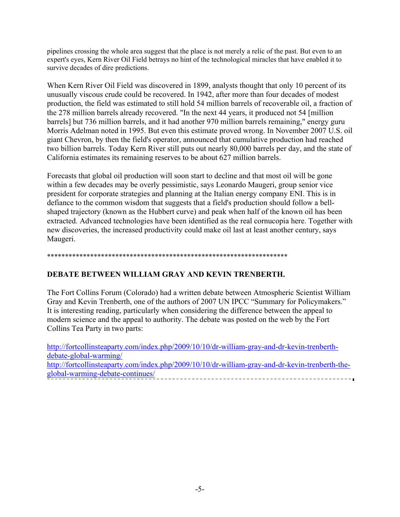pipelines crossing the whole area suggest that the place is not merely a relic of the past. But even to an expert's eyes, Kern River Oil Field betrays no hint of the technological miracles that have enabled it to survive decades of dire predictions.

When Kern River Oil Field was discovered in 1899, analysts thought that only 10 percent of its unusually viscous crude could be recovered. In 1942, after more than four decades of modest production, the field was estimated to still hold 54 million barrels of recoverable oil, a fraction of the 278 million barrels already recovered. "In the next 44 years, it produced not 54 [million barrels] but 736 million barrels, and it had another 970 million barrels remaining," energy guru Morris Adelman noted in 1995. But even this estimate proved wrong. In November 2007 U.S. oil giant Chevron, by then the field's operator, announced that cumulative production had reached two billion barrels. Today Kern River still puts out nearly 80,000 barrels per day, and the state of California estimates its remaining reserves to be about 627 million barrels.

Forecasts that global oil production will soon start to decline and that most oil will be gone within a few decades may be overly pessimistic, says Leonardo Maugeri, group senior vice president for corporate strategies and planning at the Italian energy company ENI. This is in defiance to the common wisdom that suggests that a field's production should follow a bellshaped trajectory (known as the Hubbert curve) and peak when half of the known oil has been extracted. Advanced technologies have been identified as the real cornucopia here. Together with new discoveries, the increased productivity could make oil last at least another century, says Maugeri.

### \*\*\*\*\*\*\*\*\*\*\*\*\*\*\*\*\*\*\*\*\*\*\*\*\*\*\*\*\*\*\*\*\*\*\*\*\*\*\*\*\*\*\*\*\*\*\*\*\*\*\*\*\*\*\*\*\*\*\*\*\*\*\*\*\*\*\*

# **DEBATE BETWEEN WILLIAM GRAY AND KEVIN TRENBERTH.**

The Fort Collins Forum (Colorado) had a written debate between Atmospheric Scientist William Gray and Kevin Trenberth, one of the authors of 2007 UN IPCC "Summary for Policymakers." It is interesting reading, particularly when considering the difference between the appeal to modern science and the appeal to authority. The debate was posted on the web by the Fort Collins Tea Party in two parts:

http://fortcollinsteaparty.com/index.php/2009/10/10/dr-william-gray-and-dr-kevin-trenberthdebate-global-warming/ http://fortcollinsteaparty.com/index.php/2009/10/10/dr-william-gray-and-dr-kevin-trenberth-theglobal-warming-debate-continues/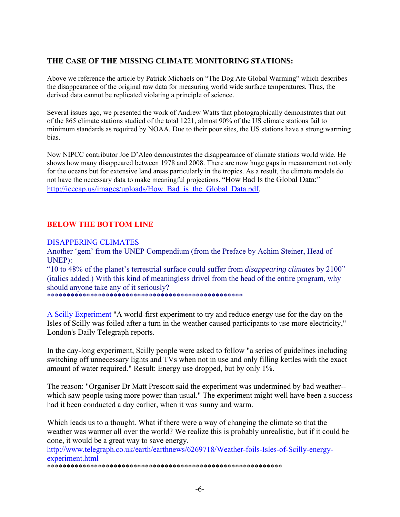# **THE CASE OF THE MISSING CLIMATE MONITORING STATIONS:**

Above we reference the article by Patrick Michaels on "The Dog Ate Global Warming" which describes the disappearance of the original raw data for measuring world wide surface temperatures. Thus, the derived data cannot be replicated violating a principle of science.

Several issues ago, we presented the work of Andrew Watts that photographically demonstrates that out of the 865 climate stations studied of the total 1221, almost 90% of the US climate stations fail to minimum standards as required by NOAA. Due to their poor sites, the US stations have a strong warming bias.

Now NIPCC contributor Joe D'Aleo demonstrates the disappearance of climate stations world wide. He shows how many disappeared between 1978 and 2008. There are now huge gaps in measurement not only for the oceans but for extensive land areas particularly in the tropics. As a result, the climate models do not have the necessary data to make meaningful projections. "How Bad Is the Global Data:" http://icecap.us/images/uploads/How\_Bad\_is\_the\_Global\_Data.pdf.

# **BELOW THE BOTTOM LINE**

### DISAPPERING CLIMATES

Another 'gem' from the UNEP Compendium (from the Preface by Achim Steiner, Head of UNEP):

"10 to 48% of the planet's terrestrial surface could suffer from *disappearing climates* by 2100" (italics added.) With this kind of meaningless drivel from the head of the entire program, why should anyone take any of it seriously?

\*\*\*\*\*\*\*\*\*\*\*\*\*\*\*\*\*\*\*\*\*\*\*\*\*\*\*\*\*\*\*\*\*\*\*\*\*\*\*\*\*\*\*\*\*\*\*\*\*\*

A Scilly Experiment "A world-first experiment to try and reduce energy use for the day on the Isles of Scilly was foiled after a turn in the weather caused participants to use more electricity," London's Daily Telegraph reports.

In the day-long experiment, Scilly people were asked to follow "a series of guidelines including switching off unnecessary lights and TVs when not in use and only filling kettles with the exact amount of water required." Result: Energy use dropped, but by only 1%.

The reason: "Organiser Dr Matt Prescott said the experiment was undermined by bad weather- which saw people using more power than usual." The experiment might well have been a success had it been conducted a day earlier, when it was sunny and warm.

Which leads us to a thought. What if there were a way of changing the climate so that the weather was warmer all over the world? We realize this is probably unrealistic, but if it could be done, it would be a great way to save energy.

http://www.telegraph.co.uk/earth/earthnews/6269718/Weather-foils-Isles-of-Scilly-energyexperiment.html \*\*\*\*\*\*\*\*\*\*\*\*\*\*\*\*\*\*\*\*\*\*\*\*\*\*\*\*\*\*\*\*\*\*\*\*\*\*\*\*\*\*\*\*\*\*\*\*\*\*\*\*\*\*\*\*\*\*\*\*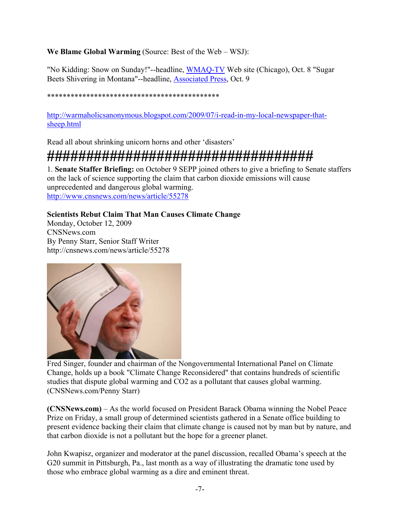# **We Blame Global Warming** (Source: Best of the Web – WSJ):

"No Kidding: Snow on Sunday!"--headline, WMAQ-TV Web site (Chicago), Oct. 8 "Sugar Beets Shivering in Montana"--headline, Associated Press, Oct. 9

### \*\*\*\*\*\*\*\*\*\*\*\*\*\*\*\*\*\*\*\*\*\*\*\*\*\*\*\*\*\*\*\*\*\*\*\*\*\*\*\*\*\*\*\*

http://warmaholicsanonymous.blogspot.com/2009/07/i-read-in-my-local-newspaper-thatsheep.html

Read all about shrinking unicorn horns and other 'disasters'

# **##################################**

1. **Senate Staffer Briefing:** on October 9 SEPP joined others to give a briefing to Senate staffers on the lack of science supporting the claim that carbon dioxide emissions will cause unprecedented and dangerous global warming. http://www.cnsnews.com/news/article/55278

# **Scientists Rebut Claim That Man Causes Climate Change**

Monday, October 12, 2009 CNSNews.com By Penny Starr, Senior Staff Writer http://cnsnews.com/news/article/55278



Fred Singer, founder and chairman of the Nongovernmental International Panel on Climate Change, holds up a book "Climate Change Reconsidered" that contains hundreds of scientific studies that dispute global warming and CO2 as a pollutant that causes global warming. (CNSNews.com/Penny Starr)

**(CNSNews.com)** – As the world focused on President Barack Obama winning the Nobel Peace Prize on Friday, a small group of determined scientists gathered in a Senate office building to present evidence backing their claim that climate change is caused not by man but by nature, and that carbon dioxide is not a pollutant but the hope for a greener planet.

John Kwapisz, organizer and moderator at the panel discussion, recalled Obama's speech at the G20 summit in Pittsburgh, Pa., last month as a way of illustrating the dramatic tone used by those who embrace global warming as a dire and eminent threat.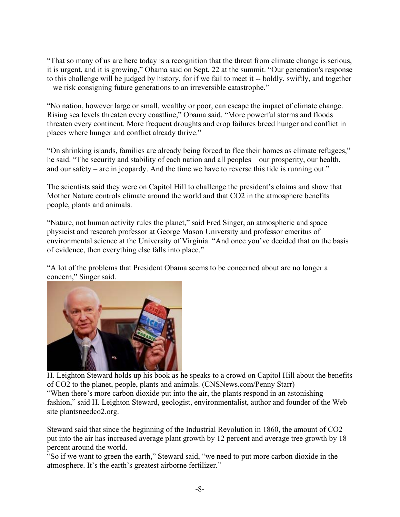"That so many of us are here today is a recognition that the threat from climate change is serious, it is urgent, and it is growing," Obama said on Sept. 22 at the summit. "Our generation's response to this challenge will be judged by history, for if we fail to meet it -- boldly, swiftly, and together – we risk consigning future generations to an irreversible catastrophe."

"No nation, however large or small, wealthy or poor, can escape the impact of climate change. Rising sea levels threaten every coastline," Obama said. "More powerful storms and floods threaten every continent. More frequent droughts and crop failures breed hunger and conflict in places where hunger and conflict already thrive."

"On shrinking islands, families are already being forced to flee their homes as climate refugees," he said. "The security and stability of each nation and all peoples – our prosperity, our health, and our safety – are in jeopardy. And the time we have to reverse this tide is running out."

The scientists said they were on Capitol Hill to challenge the president's claims and show that Mother Nature controls climate around the world and that CO2 in the atmosphere benefits people, plants and animals.

"Nature, not human activity rules the planet," said Fred Singer, an atmospheric and space physicist and research professor at George Mason University and professor emeritus of environmental science at the University of Virginia. "And once you've decided that on the basis of evidence, then everything else falls into place."

"A lot of the problems that President Obama seems to be concerned about are no longer a concern," Singer said.



H. Leighton Steward holds up his book as he speaks to a crowd on Capitol Hill about the benefits of CO2 to the planet, people, plants and animals. (CNSNews.com/Penny Starr) "When there's more carbon dioxide put into the air, the plants respond in an astonishing fashion," said H. Leighton Steward, geologist, environmentalist, author and founder of the Web site plantsneedco2.org.

Steward said that since the beginning of the Industrial Revolution in 1860, the amount of CO2 put into the air has increased average plant growth by 12 percent and average tree growth by 18 percent around the world.

"So if we want to green the earth," Steward said, "we need to put more carbon dioxide in the atmosphere. It's the earth's greatest airborne fertilizer."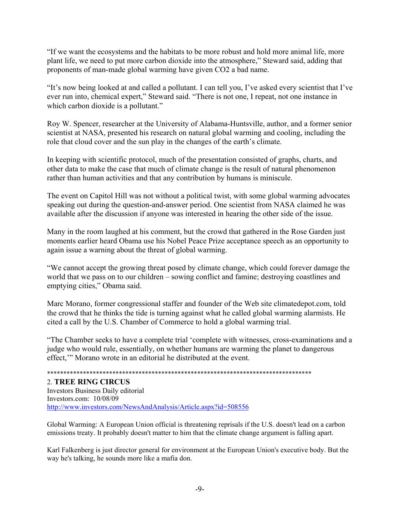"If we want the ecosystems and the habitats to be more robust and hold more animal life, more plant life, we need to put more carbon dioxide into the atmosphere," Steward said, adding that proponents of man-made global warming have given CO2 a bad name.

"It's now being looked at and called a pollutant. I can tell you, I've asked every scientist that I've ever run into, chemical expert," Steward said. "There is not one, I repeat, not one instance in which carbon dioxide is a pollutant."

Roy W. Spencer, researcher at the University of Alabama-Huntsville, author, and a former senior scientist at NASA, presented his research on natural global warming and cooling, including the role that cloud cover and the sun play in the changes of the earth's climate.

In keeping with scientific protocol, much of the presentation consisted of graphs, charts, and other data to make the case that much of climate change is the result of natural phenomenon rather than human activities and that any contribution by humans is miniscule.

The event on Capitol Hill was not without a political twist, with some global warming advocates speaking out during the question-and-answer period. One scientist from NASA claimed he was available after the discussion if anyone was interested in hearing the other side of the issue.

Many in the room laughed at his comment, but the crowd that gathered in the Rose Garden just moments earlier heard Obama use his Nobel Peace Prize acceptance speech as an opportunity to again issue a warning about the threat of global warming.

"We cannot accept the growing threat posed by climate change, which could forever damage the world that we pass on to our children – sowing conflict and famine; destroying coastlines and emptying cities," Obama said.

Marc Morano, former congressional staffer and founder of the Web site climatedepot.com, told the crowd that he thinks the tide is turning against what he called global warming alarmists. He cited a call by the U.S. Chamber of Commerce to hold a global warming trial.

"The Chamber seeks to have a complete trial 'complete with witnesses, cross-examinations and a judge who would rule, essentially, on whether humans are warming the planet to dangerous effect,'" Morano wrote in an editorial he distributed at the event.

\*\*\*\*\*\*\*\*\*\*\*\*\*\*\*\*\*\*\*\*\*\*\*\*\*\*\*\*\*\*\*\*\*\*\*\*\*\*\*\*\*\*\*\*\*\*\*\*\*\*\*\*\*\*\*\*\*\*\*\*\*\*\*\*\*\*\*\*\*\*\*\*\*\*\*\*\*\*\*\*\*

### 2. **TREE RING CIRCUS**

Investors Business Daily editorial Investors.com: 10/08/09 http://www.investors.com/NewsAndAnalysis/Article.aspx?id=508556

Global Warming: A European Union official is threatening reprisals if the U.S. doesn't lead on a carbon emissions treaty. It probably doesn't matter to him that the climate change argument is falling apart.

Karl Falkenberg is just director general for environment at the European Union's executive body. But the way he's talking, he sounds more like a mafia don.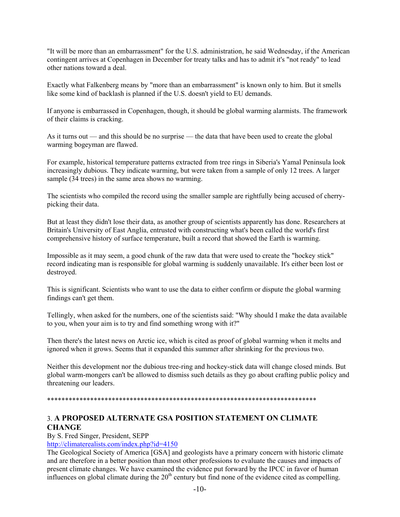"It will be more than an embarrassment" for the U.S. administration, he said Wednesday, if the American contingent arrives at Copenhagen in December for treaty talks and has to admit it's "not ready" to lead other nations toward a deal.

Exactly what Falkenberg means by "more than an embarrassment" is known only to him. But it smells like some kind of backlash is planned if the U.S. doesn't yield to EU demands.

If anyone is embarrassed in Copenhagen, though, it should be global warming alarmists. The framework of their claims is cracking.

As it turns out — and this should be no surprise — the data that have been used to create the global warming bogeyman are flawed.

For example, historical temperature patterns extracted from tree rings in Siberia's Yamal Peninsula look increasingly dubious. They indicate warming, but were taken from a sample of only 12 trees. A larger sample (34 trees) in the same area shows no warming.

The scientists who compiled the record using the smaller sample are rightfully being accused of cherrypicking their data.

But at least they didn't lose their data, as another group of scientists apparently has done. Researchers at Britain's University of East Anglia, entrusted with constructing what's been called the world's first comprehensive history of surface temperature, built a record that showed the Earth is warming.

Impossible as it may seem, a good chunk of the raw data that were used to create the "hockey stick" record indicating man is responsible for global warming is suddenly unavailable. It's either been lost or destroyed.

This is significant. Scientists who want to use the data to either confirm or dispute the global warming findings can't get them.

Tellingly, when asked for the numbers, one of the scientists said: "Why should I make the data available to you, when your aim is to try and find something wrong with it?"

Then there's the latest news on Arctic ice, which is cited as proof of global warming when it melts and ignored when it grows. Seems that it expanded this summer after shrinking for the previous two.

Neither this development nor the dubious tree-ring and hockey-stick data will change closed minds. But global warm-mongers can't be allowed to dismiss such details as they go about crafting public policy and threatening our leaders.

\*\*\*\*\*\*\*\*\*\*\*\*\*\*\*\*\*\*\*\*\*\*\*\*\*\*\*\*\*\*\*\*\*\*\*\*\*\*\*\*\*\*\*\*\*\*\*\*\*\*\*\*\*\*\*\*\*\*\*\*\*\*\*\*\*\*\*\*\*\*\*\*\*\*\*

# 3. **A PROPOSED ALTERNATE GSA POSITION STATEMENT ON CLIMATE CHANGE**

#### By S. Fred Singer, President, SEPP

http://climaterealists.com/index.php?id=4150

The Geological Society of America [GSA] and geologists have a primary concern with historic climate and are therefore in a better position than most other professions to evaluate the causes and impacts of present climate changes. We have examined the evidence put forward by the IPCC in favor of human influences on global climate during the  $20<sup>th</sup>$  century but find none of the evidence cited as compelling.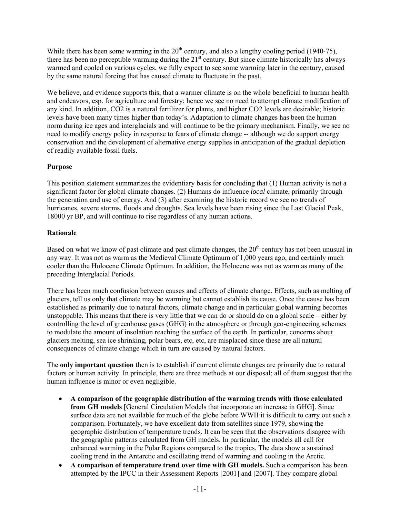While there has been some warming in the  $20<sup>th</sup>$  century, and also a lengthy cooling period (1940-75), there has been no perceptible warming during the  $21<sup>st</sup>$  century. But since climate historically has always warmed and cooled on various cycles, we fully expect to see some warming later in the century, caused by the same natural forcing that has caused climate to fluctuate in the past.

We believe, and evidence supports this, that a warmer climate is on the whole beneficial to human health and endeavors, esp. for agriculture and forestry; hence we see no need to attempt climate modification of any kind. In addition, CO2 is a natural fertilizer for plants, and higher CO2 levels are desirable; historic levels have been many times higher than today's. Adaptation to climate changes has been the human norm during ice ages and interglacials and will continue to be the primary mechanism. Finally, we see no need to modify energy policy in response to fears of climate change -- although we do support energy conservation and the development of alternative energy supplies in anticipation of the gradual depletion of readily available fossil fuels.

### **Purpose**

This position statement summarizes the evidentiary basis for concluding that (1) Human activity is not a significant factor for global climate changes. (2) Humans do influence *local* climate, primarily through the generation and use of energy. And (3) after examining the historic record we see no trends of hurricanes, severe storms, floods and droughts. Sea levels have been rising since the Last Glacial Peak, 18000 yr BP, and will continue to rise regardless of any human actions.

### **Rationale**

Based on what we know of past climate and past climate changes, the  $20<sup>th</sup>$  century has not been unusual in any way. It was not as warm as the Medieval Climate Optimum of 1,000 years ago, and certainly much cooler than the Holocene Climate Optimum. In addition, the Holocene was not as warm as many of the preceding Interglacial Periods.

There has been much confusion between causes and effects of climate change. Effects, such as melting of glaciers, tell us only that climate may be warming but cannot establish its cause. Once the cause has been established as primarily due to natural factors, climate change and in particular global warming becomes unstoppable. This means that there is very little that we can do or should do on a global scale – either by controlling the level of greenhouse gases (GHG) in the atmosphere or through geo-engineering schemes to modulate the amount of insolation reaching the surface of the earth. In particular, concerns about glaciers melting, sea ice shrinking, polar bears, etc, etc, are misplaced since these are all natural consequences of climate change which in turn are caused by natural factors.

The **only important question** then is to establish if current climate changes are primarily due to natural factors or human activity. In principle, there are three methods at our disposal; all of them suggest that the human influence is minor or even negligible.

- **A comparison of the geographic distribution of the warming trends with those calculated from GH models** [General Circulation Models that incorporate an increase in GHG]. Since surface data are not available for much of the globe before WWII it is difficult to carry out such a comparison. Fortunately, we have excellent data from satellites since 1979, showing the geographic distribution of temperature trends. It can be seen that the observations disagree with the geographic patterns calculated from GH models. In particular, the models all call for enhanced warming in the Polar Regions compared to the tropics. The data show a sustained cooling trend in the Antarctic and oscillating trend of warming and cooling in the Arctic.
- **A comparison of temperature trend over time with GH models.** Such a comparison has been attempted by the IPCC in their Assessment Reports [2001] and [2007]. They compare global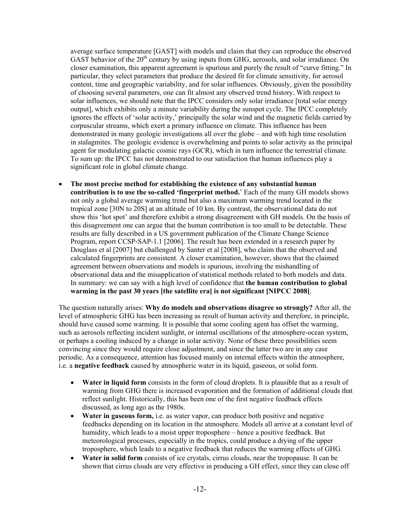average surface temperature [GAST] with models and claim that they can reproduce the observed GAST behavior of the  $20<sup>th</sup>$  century by using inputs from GHG, aerosols, and solar irradiance. On closer examination, this apparent agreement is spurious and purely the result of "curve fitting." In particular, they select parameters that produce the desired fit for climate sensitivity, for aerosol content, time and geographic variability, and for solar influences. Obviously, given the possibility of choosing several parameters, one can fit almost any observed trend history. With respect to solar influences, we should note that the IPCC considers only solar irradiance [total solar energy output], which exhibits only a minute variability during the sunspot cycle. The IPCC completely ignores the effects of 'solar activity,' principally the solar wind and the magnetic fields carried by corpuscular streams, which exert a primary influence on climate. This influence has been demonstrated in many geologic investigations all over the globe – and with high time resolution in stalagmites. The geologic evidence is overwhelming and points to solar activity as the principal agent for modulating galactic cosmic rays (GCR), which in turn influence the terrestrial climate. To sum up: the IPCC has not demonstrated to our satisfaction that human influences play a significant role in global climate change.

 **The most precise method for establishing the existence of any substantial human contribution is to use the so-called 'fingerprint method.**' Each of the many GH models shows not only a global average warming trend but also a maximum warming trend located in the tropical zone [30N to 20S] at an altitude of 10 km. By contrast, the observational data do not show this 'hot spot' and therefore exhibit a strong disagreement with GH models. On the basis of this disagreement one can argue that the human contribution is too small to be detectable. These results are fully described in a US government publication of the Climate Change Science Program, report CCSP-SAP-1.1 [2006]. The result has been extended in a research paper by Douglass et al [2007] but challenged by Santer et al [2008], who claim that the observed and calculated fingerprints are consistent. A closer examination, however, shows that the claimed agreement between observations and models is spurious, involving the mishandling of observational data and the misapplication of statistical methods related to both models and data. In summary: we can say with a high level of confidence that **the human contribution to global warming in the past 30 years [the satellite era] is not significant [NIPCC 2008]**.

The question naturally arises: **Why do models and observations disagree so strongly?** After all, the level of atmospheric GHG has been increasing as result of human activity and therefore, in principle, should have caused some warming. It is possible that some cooling agent has offset the warming, such as aerosols reflecting incident sunlight, or internal oscillations of the atmosphere-ocean system, or perhaps a cooling induced by a change in solar activity. None of these three possibilities seem convincing since they would require close adjustment, and since the latter two are in any case periodic. As a consequence, attention has focused mainly on internal effects within the atmosphere, i.e. a **negative feedback** caused by atmospheric water in its liquid, gaseous, or solid form.

- Water in liquid form consists in the form of cloud droplets. It is plausible that as a result of warming from GHG there is increased evaporation and the formation of additional clouds that reflect sunlight. Historically, this has been one of the first negative feedback effects discussed, as long ago as the 1980s.
- **Water in gaseous form,** i.e. as water vapor, can produce both positive and negative feedbacks depending on its location in the atmosphere. Models all arrive at a constant level of humidity, which leads to a moist upper troposphere – hence a positive feedback. But meteorological processes, especially in the tropics, could produce a drying of the upper troposphere, which leads to a negative feedback that reduces the warming effects of GHG.
- **Water in solid form** consists of ice crystals, cirrus clouds, near the tropopause. It can be shown that cirrus clouds are very effective in producing a GH effect, since they can close off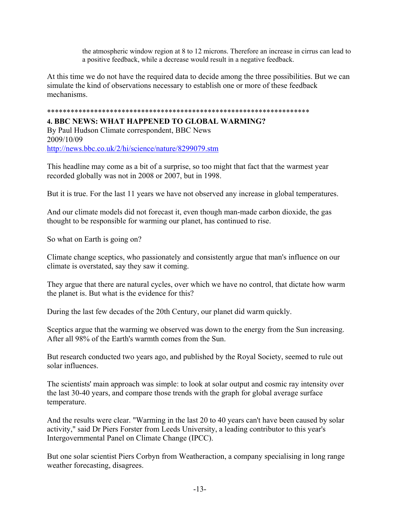the atmospheric window region at 8 to 12 microns. Therefore an increase in cirrus can lead to a positive feedback, while a decrease would result in a negative feedback.

At this time we do not have the required data to decide among the three possibilities. But we can simulate the kind of observations necessary to establish one or more of these feedback mechanisms.

### \*\*\*\*\*\*\*\*\*\*\*\*\*\*\*\*\*\*\*\*\*\*\*\*\*\*\*\*\*\*\*\*\*\*\*\*\*\*\*\*\*\*\*\*\*\*\*\*\*\*\*\*\*\*\*\*\*\*\*\*\*\*\*\*\*\*\*

### **4. BBC NEWS: WHAT HAPPENED TO GLOBAL WARMING?**

By Paul Hudson Climate correspondent, BBC News 2009/10/09 http://news.bbc.co.uk/2/hi/science/nature/8299079.stm

This headline may come as a bit of a surprise, so too might that fact that the warmest year recorded globally was not in 2008 or 2007, but in 1998.

But it is true. For the last 11 years we have not observed any increase in global temperatures.

And our climate models did not forecast it, even though man-made carbon dioxide, the gas thought to be responsible for warming our planet, has continued to rise.

So what on Earth is going on?

Climate change sceptics, who passionately and consistently argue that man's influence on our climate is overstated, say they saw it coming.

They argue that there are natural cycles, over which we have no control, that dictate how warm the planet is. But what is the evidence for this?

During the last few decades of the 20th Century, our planet did warm quickly.

Sceptics argue that the warming we observed was down to the energy from the Sun increasing. After all 98% of the Earth's warmth comes from the Sun.

But research conducted two years ago, and published by the Royal Society, seemed to rule out solar influences.

The scientists' main approach was simple: to look at solar output and cosmic ray intensity over the last 30-40 years, and compare those trends with the graph for global average surface temperature.

And the results were clear. "Warming in the last 20 to 40 years can't have been caused by solar activity," said Dr Piers Forster from Leeds University, a leading contributor to this year's Intergovernmental Panel on Climate Change (IPCC).

But one solar scientist Piers Corbyn from Weatheraction, a company specialising in long range weather forecasting, disagrees.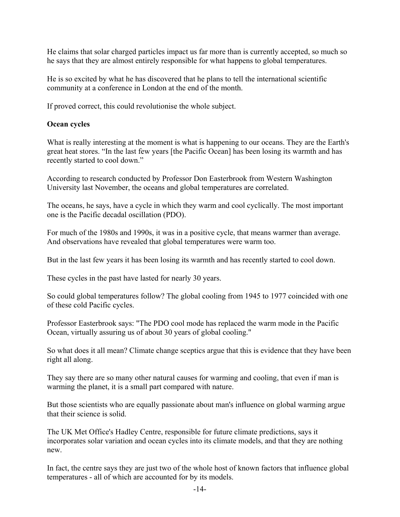He claims that solar charged particles impact us far more than is currently accepted, so much so he says that they are almost entirely responsible for what happens to global temperatures.

He is so excited by what he has discovered that he plans to tell the international scientific community at a conference in London at the end of the month.

If proved correct, this could revolutionise the whole subject.

### **Ocean cycles**

What is really interesting at the moment is what is happening to our oceans. They are the Earth's great heat stores. "In the last few years [the Pacific Ocean] has been losing its warmth and has recently started to cool down."

According to research conducted by Professor Don Easterbrook from Western Washington University last November, the oceans and global temperatures are correlated.

The oceans, he says, have a cycle in which they warm and cool cyclically. The most important one is the Pacific decadal oscillation (PDO).

For much of the 1980s and 1990s, it was in a positive cycle, that means warmer than average. And observations have revealed that global temperatures were warm too.

But in the last few years it has been losing its warmth and has recently started to cool down.

These cycles in the past have lasted for nearly 30 years.

So could global temperatures follow? The global cooling from 1945 to 1977 coincided with one of these cold Pacific cycles.

Professor Easterbrook says: "The PDO cool mode has replaced the warm mode in the Pacific Ocean, virtually assuring us of about 30 years of global cooling."

So what does it all mean? Climate change sceptics argue that this is evidence that they have been right all along.

They say there are so many other natural causes for warming and cooling, that even if man is warming the planet, it is a small part compared with nature.

But those scientists who are equally passionate about man's influence on global warming argue that their science is solid.

The UK Met Office's Hadley Centre, responsible for future climate predictions, says it incorporates solar variation and ocean cycles into its climate models, and that they are nothing new.

In fact, the centre says they are just two of the whole host of known factors that influence global temperatures - all of which are accounted for by its models.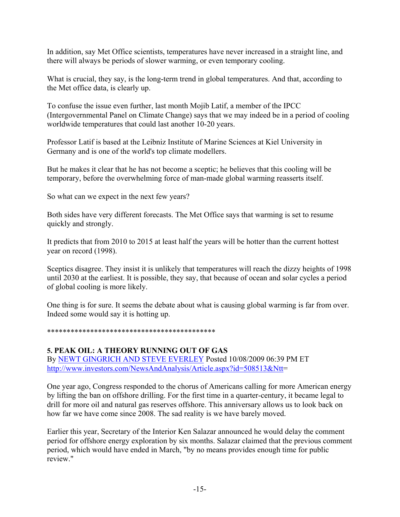In addition, say Met Office scientists, temperatures have never increased in a straight line, and there will always be periods of slower warming, or even temporary cooling.

What is crucial, they say, is the long-term trend in global temperatures. And that, according to the Met office data, is clearly up.

To confuse the issue even further, last month Mojib Latif, a member of the IPCC (Intergovernmental Panel on Climate Change) says that we may indeed be in a period of cooling worldwide temperatures that could last another 10-20 years.

Professor Latif is based at the Leibniz Institute of Marine Sciences at Kiel University in Germany and is one of the world's top climate modellers.

But he makes it clear that he has not become a sceptic; he believes that this cooling will be temporary, before the overwhelming force of man-made global warming reasserts itself.

So what can we expect in the next few years?

Both sides have very different forecasts. The Met Office says that warming is set to resume quickly and strongly.

It predicts that from 2010 to 2015 at least half the years will be hotter than the current hottest year on record (1998).

Sceptics disagree. They insist it is unlikely that temperatures will reach the dizzy heights of 1998 until 2030 at the earliest. It is possible, they say, that because of ocean and solar cycles a period of global cooling is more likely.

One thing is for sure. It seems the debate about what is causing global warming is far from over. Indeed some would say it is hotting up.

### \*\*\*\*\*\*\*\*\*\*\*\*\*\*\*\*\*\*\*\*\*\*\*\*\*\*\*\*\*\*\*\*\*\*\*\*\*\*\*\*\*\*\*

**5. PEAK OIL: A THEORY RUNNING OUT OF GAS** By NEWT GINGRICH AND STEVE EVERLEY Posted 10/08/2009 06:39 PM ET http://www.investors.com/NewsAndAnalysis/Article.aspx?id=508513&Ntt=

One year ago, Congress responded to the chorus of Americans calling for more American energy by lifting the ban on offshore drilling. For the first time in a quarter-century, it became legal to drill for more oil and natural gas reserves offshore. This anniversary allows us to look back on how far we have come since 2008. The sad reality is we have barely moved.

Earlier this year, Secretary of the Interior Ken Salazar announced he would delay the comment period for offshore energy exploration by six months. Salazar claimed that the previous comment period, which would have ended in March, "by no means provides enough time for public review"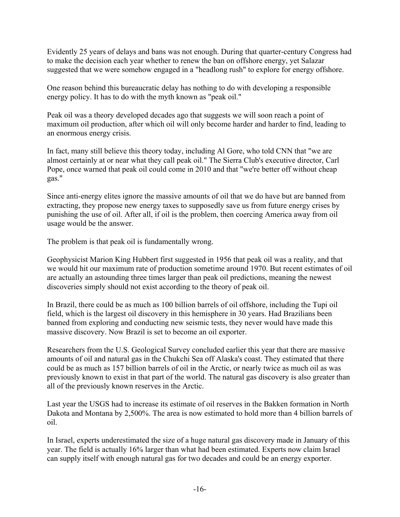Evidently 25 years of delays and bans was not enough. During that quarter-century Congress had to make the decision each year whether to renew the ban on offshore energy, yet Salazar suggested that we were somehow engaged in a "headlong rush" to explore for energy offshore.

One reason behind this bureaucratic delay has nothing to do with developing a responsible energy policy. It has to do with the myth known as "peak oil."

Peak oil was a theory developed decades ago that suggests we will soon reach a point of maximum oil production, after which oil will only become harder and harder to find, leading to an enormous energy crisis.

In fact, many still believe this theory today, including Al Gore, who told CNN that "we are almost certainly at or near what they call peak oil." The Sierra Club's executive director, Carl Pope, once warned that peak oil could come in 2010 and that "we're better off without cheap gas."

Since anti-energy elites ignore the massive amounts of oil that we do have but are banned from extracting, they propose new energy taxes to supposedly save us from future energy crises by punishing the use of oil. After all, if oil is the problem, then coercing America away from oil usage would be the answer.

The problem is that peak oil is fundamentally wrong.

Geophysicist Marion King Hubbert first suggested in 1956 that peak oil was a reality, and that we would hit our maximum rate of production sometime around 1970. But recent estimates of oil are actually an astounding three times larger than peak oil predictions, meaning the newest discoveries simply should not exist according to the theory of peak oil.

In Brazil, there could be as much as 100 billion barrels of oil offshore, including the Tupi oil field, which is the largest oil discovery in this hemisphere in 30 years. Had Brazilians been banned from exploring and conducting new seismic tests, they never would have made this massive discovery. Now Brazil is set to become an oil exporter.

Researchers from the U.S. Geological Survey concluded earlier this year that there are massive amounts of oil and natural gas in the Chukchi Sea off Alaska's coast. They estimated that there could be as much as 157 billion barrels of oil in the Arctic, or nearly twice as much oil as was previously known to exist in that part of the world. The natural gas discovery is also greater than all of the previously known reserves in the Arctic.

Last year the USGS had to increase its estimate of oil reserves in the Bakken formation in North Dakota and Montana by 2,500%. The area is now estimated to hold more than 4 billion barrels of oil.

In Israel, experts underestimated the size of a huge natural gas discovery made in January of this year. The field is actually 16% larger than what had been estimated. Experts now claim Israel can supply itself with enough natural gas for two decades and could be an energy exporter.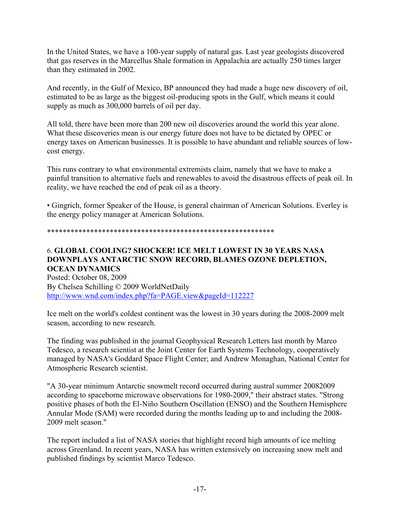In the United States, we have a 100-year supply of natural gas. Last year geologists discovered that gas reserves in the Marcellus Shale formation in Appalachia are actually 250 times larger than they estimated in 2002.

And recently, in the Gulf of Mexico, BP announced they had made a huge new discovery of oil, estimated to be as large as the biggest oil-producing spots in the Gulf, which means it could supply as much as 300,000 barrels of oil per day.

All told, there have been more than 200 new oil discoveries around the world this year alone. What these discoveries mean is our energy future does not have to be dictated by OPEC or energy taxes on American businesses. It is possible to have abundant and reliable sources of lowcost energy.

This runs contrary to what environmental extremists claim, namely that we have to make a painful transition to alternative fuels and renewables to avoid the disastrous effects of peak oil. In reality, we have reached the end of peak oil as a theory.

• Gingrich, former Speaker of the House, is general chairman of American Solutions. Everley is the energy policy manager at American Solutions.

### \*\*\*\*\*\*\*\*\*\*\*\*\*\*\*\*\*\*\*\*\*\*\*\*\*\*\*\*\*\*\*\*\*\*\*\*\*\*\*\*\*\*\*\*\*\*\*\*\*\*\*\*\*\*\*\*\*\*

# 6. **GLOBAL COOLING? SHOCKER! ICE MELT LOWEST IN 30 YEARS NASA DOWNPLAYS ANTARCTIC SNOW RECORD, BLAMES OZONE DEPLETION, OCEAN DYNAMICS**

Posted: October 08, 2009 By Chelsea Schilling © 2009 WorldNetDaily http://www.wnd.com/index.php?fa=PAGE.view&pageId=112227

Ice melt on the world's coldest continent was the lowest in 30 years during the 2008-2009 melt season, according to new research.

The finding was published in the journal Geophysical Research Letters last month by Marco Tedesco, a research scientist at the Joint Center for Earth Systems Technology, cooperatively managed by NASA's Goddard Space Flight Center; and Andrew Monaghan, National Center for Atmospheric Research scientist.

"A 30-year minimum Antarctic snowmelt record occurred during austral summer 20082009 according to spaceborne microwave observations for 1980-2009," their abstract states. "Strong positive phases of both the El-Niño Southern Oscillation (ENSO) and the Southern Hemisphere Annular Mode (SAM) were recorded during the months leading up to and including the 2008- 2009 melt season."

The report included a list of NASA stories that highlight record high amounts of ice melting across Greenland. In recent years, NASA has written extensively on increasing snow melt and published findings by scientist Marco Tedesco.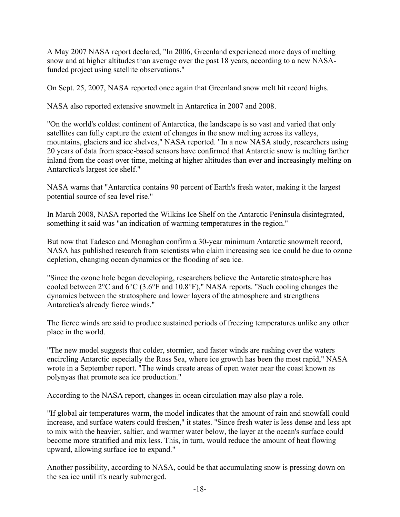A May 2007 NASA report declared, "In 2006, Greenland experienced more days of melting snow and at higher altitudes than average over the past 18 years, according to a new NASAfunded project using satellite observations."

On Sept. 25, 2007, NASA reported once again that Greenland snow melt hit record highs.

NASA also reported extensive snowmelt in Antarctica in 2007 and 2008.

"On the world's coldest continent of Antarctica, the landscape is so vast and varied that only satellites can fully capture the extent of changes in the snow melting across its valleys, mountains, glaciers and ice shelves," NASA reported. "In a new NASA study, researchers using 20 years of data from space-based sensors have confirmed that Antarctic snow is melting farther inland from the coast over time, melting at higher altitudes than ever and increasingly melting on Antarctica's largest ice shelf."

NASA warns that "Antarctica contains 90 percent of Earth's fresh water, making it the largest potential source of sea level rise."

In March 2008, NASA reported the Wilkins Ice Shelf on the Antarctic Peninsula disintegrated, something it said was "an indication of warming temperatures in the region."

But now that Tadesco and Monaghan confirm a 30-year minimum Antarctic snowmelt record, NASA has published research from scientists who claim increasing sea ice could be due to ozone depletion, changing ocean dynamics or the flooding of sea ice.

"Since the ozone hole began developing, researchers believe the Antarctic stratosphere has cooled between 2°C and 6°C (3.6°F and 10.8°F)," NASA reports. "Such cooling changes the dynamics between the stratosphere and lower layers of the atmosphere and strengthens Antarctica's already fierce winds."

The fierce winds are said to produce sustained periods of freezing temperatures unlike any other place in the world.

"The new model suggests that colder, stormier, and faster winds are rushing over the waters encircling Antarctic especially the Ross Sea, where ice growth has been the most rapid," NASA wrote in a September report. "The winds create areas of open water near the coast known as polynyas that promote sea ice production."

According to the NASA report, changes in ocean circulation may also play a role.

"If global air temperatures warm, the model indicates that the amount of rain and snowfall could increase, and surface waters could freshen," it states. "Since fresh water is less dense and less apt to mix with the heavier, saltier, and warmer water below, the layer at the ocean's surface could become more stratified and mix less. This, in turn, would reduce the amount of heat flowing upward, allowing surface ice to expand."

Another possibility, according to NASA, could be that accumulating snow is pressing down on the sea ice until it's nearly submerged.